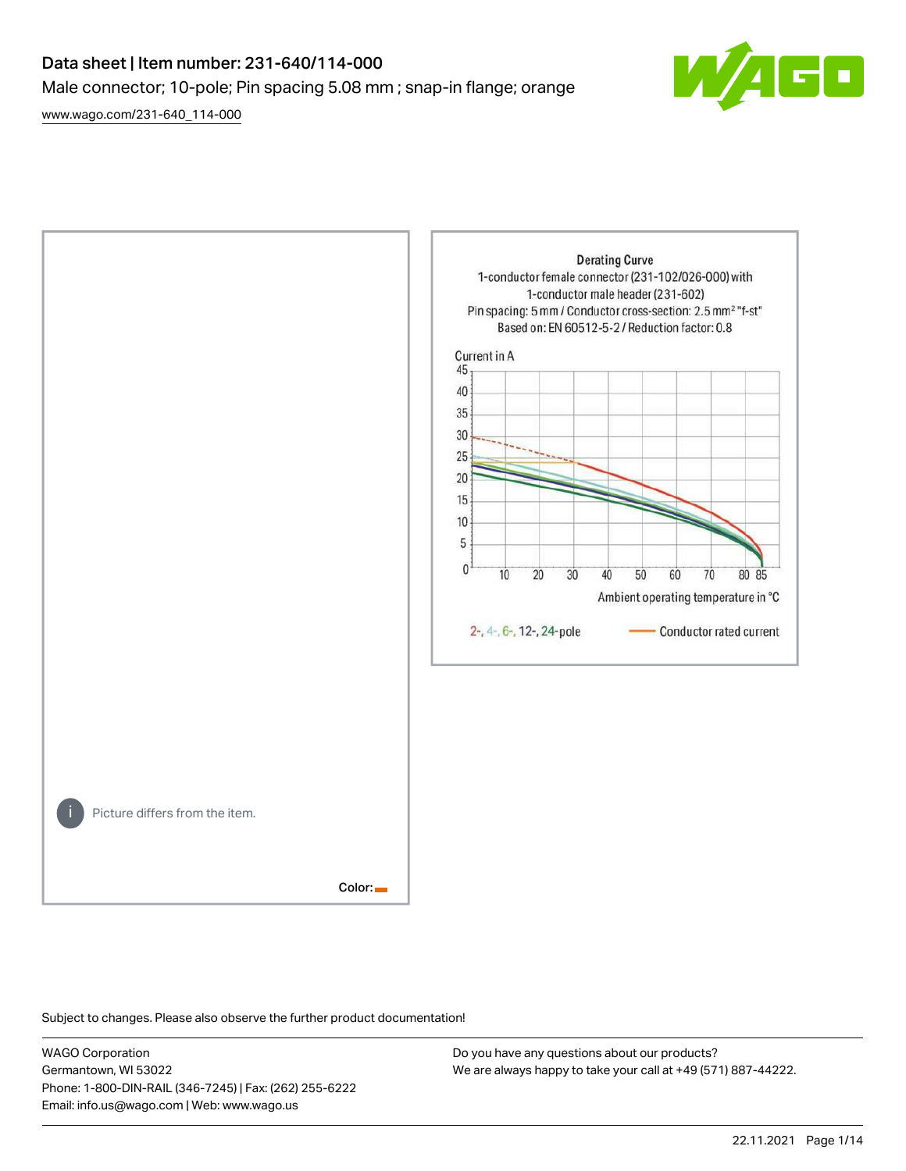# Data sheet | Item number: 231-640/114-000 Male connector; 10-pole; Pin spacing 5.08 mm ; snap-in flange; orange

[www.wago.com/231-640\\_114-000](http://www.wago.com/231-640_114-000)





Subject to changes. Please also observe the further product documentation!

WAGO Corporation Germantown, WI 53022 Phone: 1-800-DIN-RAIL (346-7245) | Fax: (262) 255-6222 Email: info.us@wago.com | Web: www.wago.us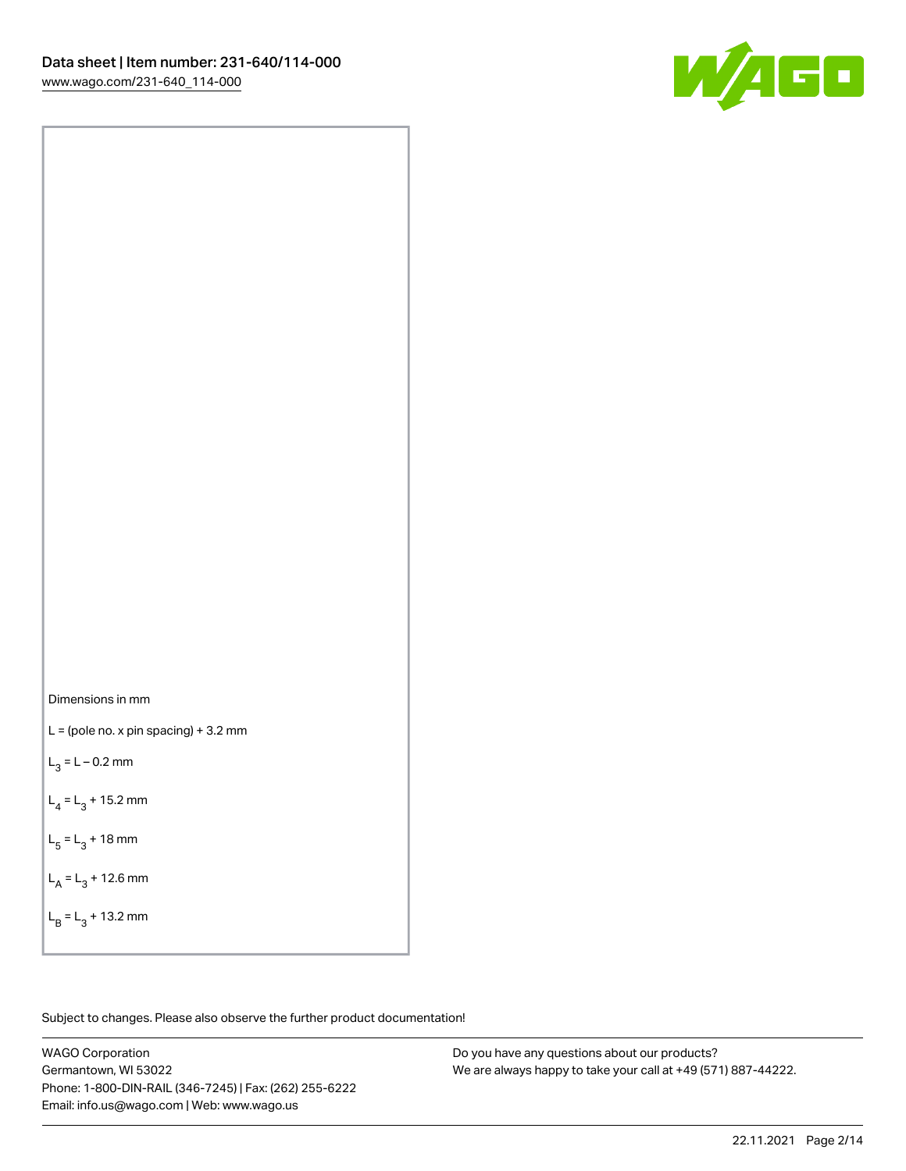

Dimensions in mm

 $L =$  (pole no. x pin spacing) + 3.2 mm

 $L_3 = L - 0.2$  mm

 $L_4 = L_3 + 15.2$  mm

 $L_5 = L_3 + 18$  mm

 $L_A = L_3 + 12.6$  mm

 $L_B = L_3 + 13.2$  mm

Subject to changes. Please also observe the further product documentation!

WAGO Corporation Germantown, WI 53022 Phone: 1-800-DIN-RAIL (346-7245) | Fax: (262) 255-6222 Email: info.us@wago.com | Web: www.wago.us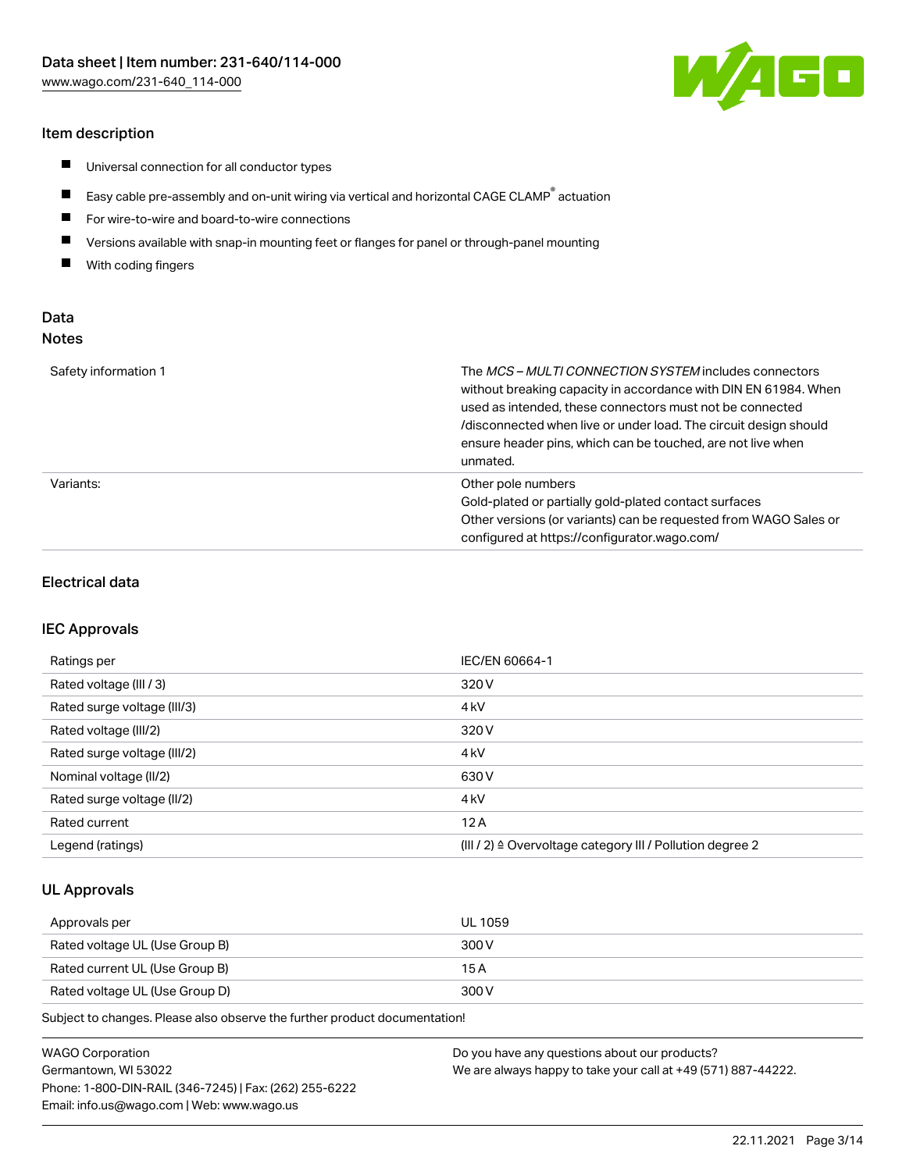#### Item description

- $\blacksquare$ Universal connection for all conductor types
- $\blacksquare$ Easy cable pre-assembly and on-unit wiring via vertical and horizontal CAGE CLAMP<sup>®</sup> actuation
- $\blacksquare$ For wire-to-wire and board-to-wire connections
- $\blacksquare$ Versions available with snap-in mounting feet or flanges for panel or through-panel mounting
- $\blacksquare$ With coding fingers

## Data Notes

| Safety information 1 | The <i>MCS – MULTI CONNECTION SYSTEM</i> includes connectors<br>without breaking capacity in accordance with DIN EN 61984. When<br>used as intended, these connectors must not be connected<br>/disconnected when live or under load. The circuit design should<br>ensure header pins, which can be touched, are not live when<br>unmated. |
|----------------------|--------------------------------------------------------------------------------------------------------------------------------------------------------------------------------------------------------------------------------------------------------------------------------------------------------------------------------------------|
| Variants:            | Other pole numbers<br>Gold-plated or partially gold-plated contact surfaces<br>Other versions (or variants) can be requested from WAGO Sales or<br>configured at https://configurator.wago.com/                                                                                                                                            |

#### Electrical data

#### IEC Approvals

| Ratings per                 | IEC/EN 60664-1                                                        |
|-----------------------------|-----------------------------------------------------------------------|
| Rated voltage (III / 3)     | 320 V                                                                 |
| Rated surge voltage (III/3) | 4 <sub>k</sub> V                                                      |
| Rated voltage (III/2)       | 320 V                                                                 |
| Rated surge voltage (III/2) | 4 <sub>k</sub> V                                                      |
| Nominal voltage (II/2)      | 630 V                                                                 |
| Rated surge voltage (II/2)  | 4 <sub>kV</sub>                                                       |
| Rated current               | 12A                                                                   |
| Legend (ratings)            | $(III / 2)$ $\triangle$ Overvoltage category III / Pollution degree 2 |

#### UL Approvals

| Approvals per                  | UL 1059 |
|--------------------------------|---------|
| Rated voltage UL (Use Group B) | 300 V   |
| Rated current UL (Use Group B) | 15 A    |
| Rated voltage UL (Use Group D) | 300 V   |

Subject to changes. Please also observe the further product documentation!

| WAGO Corporation                                       | Do you have any questions about our products?                 |
|--------------------------------------------------------|---------------------------------------------------------------|
| Germantown, WI 53022                                   | We are always happy to take your call at +49 (571) 887-44222. |
| Phone: 1-800-DIN-RAIL (346-7245)   Fax: (262) 255-6222 |                                                               |
| Email: info.us@wago.com   Web: www.wago.us             |                                                               |

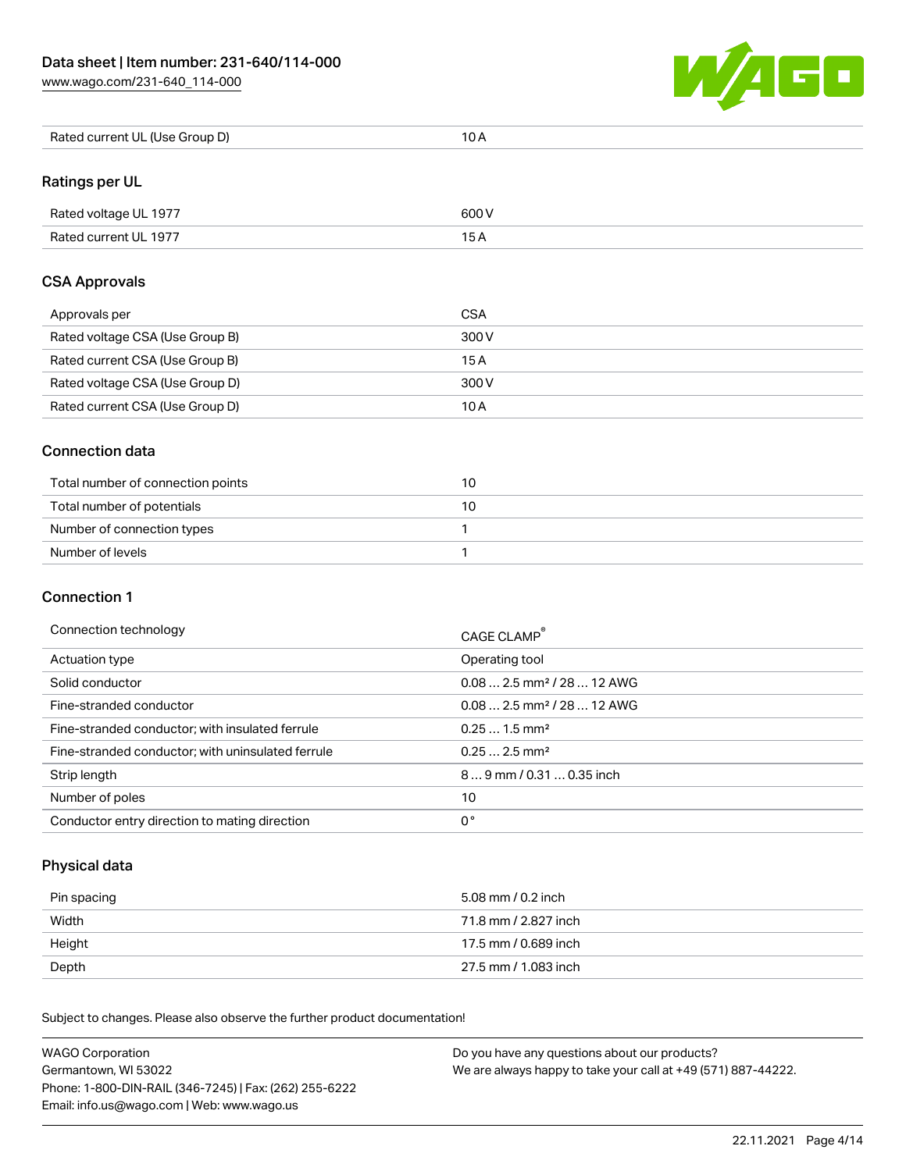[www.wago.com/231-640\\_114-000](http://www.wago.com/231-640_114-000)



| Rated current UL (Use Group D) | 10 A |
|--------------------------------|------|
|--------------------------------|------|

# Ratings per UL

| Rated voltage UL 1977 | 600 V |
|-----------------------|-------|
| Rated current UL 1977 |       |

#### CSA Approvals

| Approvals per                   | CSA   |
|---------------------------------|-------|
| Rated voltage CSA (Use Group B) | 300 V |
| Rated current CSA (Use Group B) | 15 A  |
| Rated voltage CSA (Use Group D) | 300 V |
| Rated current CSA (Use Group D) | 10 A  |

#### Connection data

| Total number of connection points | 10 |
|-----------------------------------|----|
| Total number of potentials        |    |
| Number of connection types        |    |
| Number of levels                  |    |

#### Connection 1

#### Connection technology CAGE CLAMP®

|                                                   | <b>CAGE CLAMP</b>                      |
|---------------------------------------------------|----------------------------------------|
| Actuation type                                    | Operating tool                         |
| Solid conductor                                   | $0.082.5$ mm <sup>2</sup> / 28  12 AWG |
| Fine-stranded conductor                           | $0.082.5$ mm <sup>2</sup> / 28  12 AWG |
| Fine-stranded conductor; with insulated ferrule   | $0.251.5$ mm <sup>2</sup>              |
| Fine-stranded conductor; with uninsulated ferrule | $0.252.5$ mm <sup>2</sup>              |
| Strip length                                      | $89$ mm / 0.31  0.35 inch              |
| Number of poles                                   | 10                                     |
| Conductor entry direction to mating direction     | 0°                                     |

# Physical data

| Pin spacing | 5.08 mm / 0.2 inch   |
|-------------|----------------------|
| Width       | 71.8 mm / 2.827 inch |
| Height      | 17.5 mm / 0.689 inch |
| Depth       | 27.5 mm / 1.083 inch |

Subject to changes. Please also observe the further product documentation! Mechanical data

| <b>WAGO Corporation</b>                                | Do you have any questions about our products?                 |
|--------------------------------------------------------|---------------------------------------------------------------|
| Germantown, WI 53022                                   | We are always happy to take your call at +49 (571) 887-44222. |
| Phone: 1-800-DIN-RAIL (346-7245)   Fax: (262) 255-6222 |                                                               |
| Email: info.us@wago.com   Web: www.wago.us             |                                                               |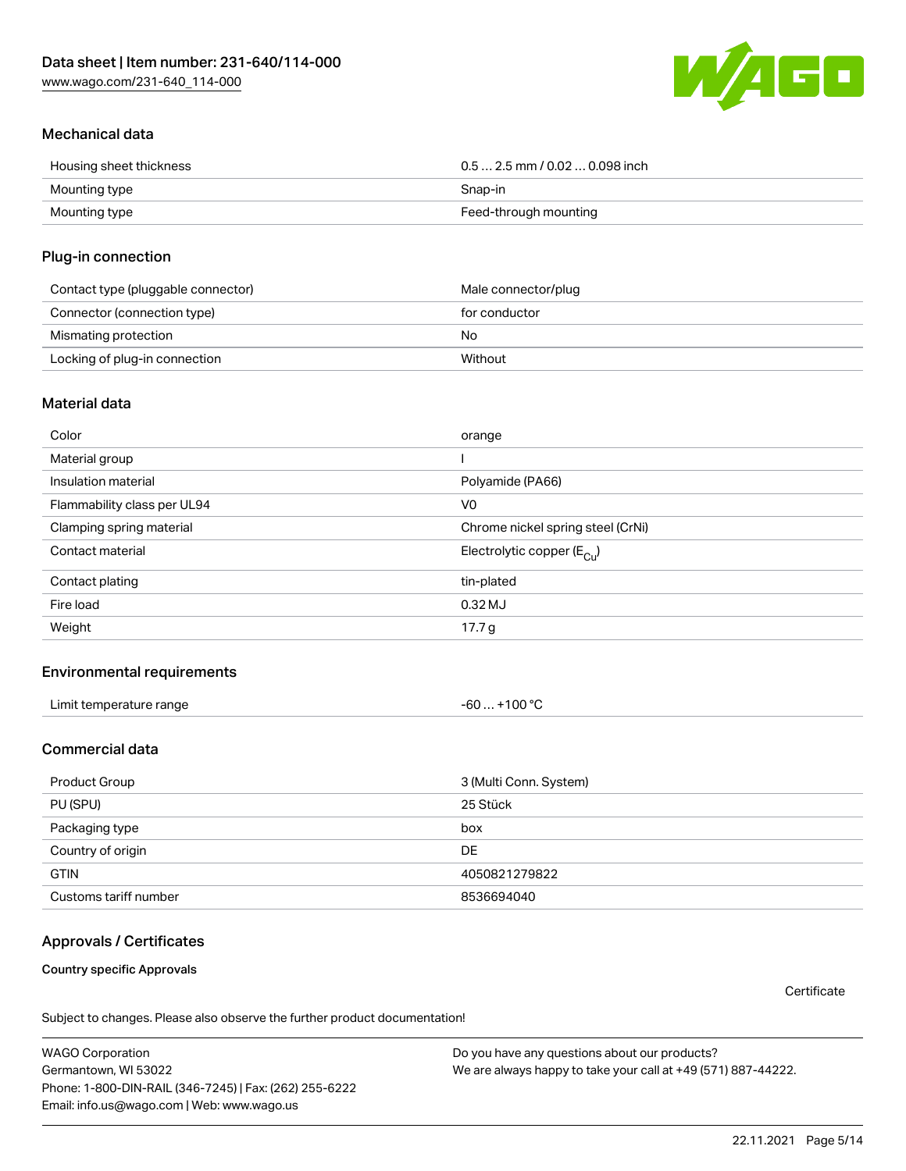[www.wago.com/231-640\\_114-000](http://www.wago.com/231-640_114-000)



## Mechanical data

| Housing sheet thickness | $0.5$ 2.5 mm / 0.02  0.098 inch |
|-------------------------|---------------------------------|
| Mounting type           | Snap-in                         |
| Mounting type           | Feed-through mounting           |

#### Plug-in connection

| Contact type (pluggable connector) | Male connector/plug |
|------------------------------------|---------------------|
| Connector (connection type)        | for conductor       |
| Mismating protection               | No                  |
| Locking of plug-in connection      | Without             |

#### Material data

| Color                       | orange                                |
|-----------------------------|---------------------------------------|
| Material group              |                                       |
| Insulation material         | Polyamide (PA66)                      |
| Flammability class per UL94 | V <sub>0</sub>                        |
| Clamping spring material    | Chrome nickel spring steel (CrNi)     |
| Contact material            | Electrolytic copper $(E_{\text{Cl}})$ |
| Contact plating             | tin-plated                            |
| Fire load                   | $0.32$ MJ                             |
| Weight                      | 17.7 g                                |

#### Environmental requirements

| Limit temperature range<br>the contract of the contract of the contract of the contract of the contract of the contract of the contract of | . +100 ℃<br>-60 |  |
|--------------------------------------------------------------------------------------------------------------------------------------------|-----------------|--|
|--------------------------------------------------------------------------------------------------------------------------------------------|-----------------|--|

# Commercial data

| Product Group         | 3 (Multi Conn. System) |
|-----------------------|------------------------|
| PU (SPU)              | 25 Stück               |
| Packaging type        | box                    |
| Country of origin     | DE                     |
| <b>GTIN</b>           | 4050821279822          |
| Customs tariff number | 8536694040             |

## Approvals / Certificates

Country specific Approvals

**Certificate** 

Subject to changes. Please also observe the further product documentation!

WAGO Corporation Germantown, WI 53022 Phone: 1-800-DIN-RAIL (346-7245) | Fax: (262) 255-6222 Email: info.us@wago.com | Web: www.wago.us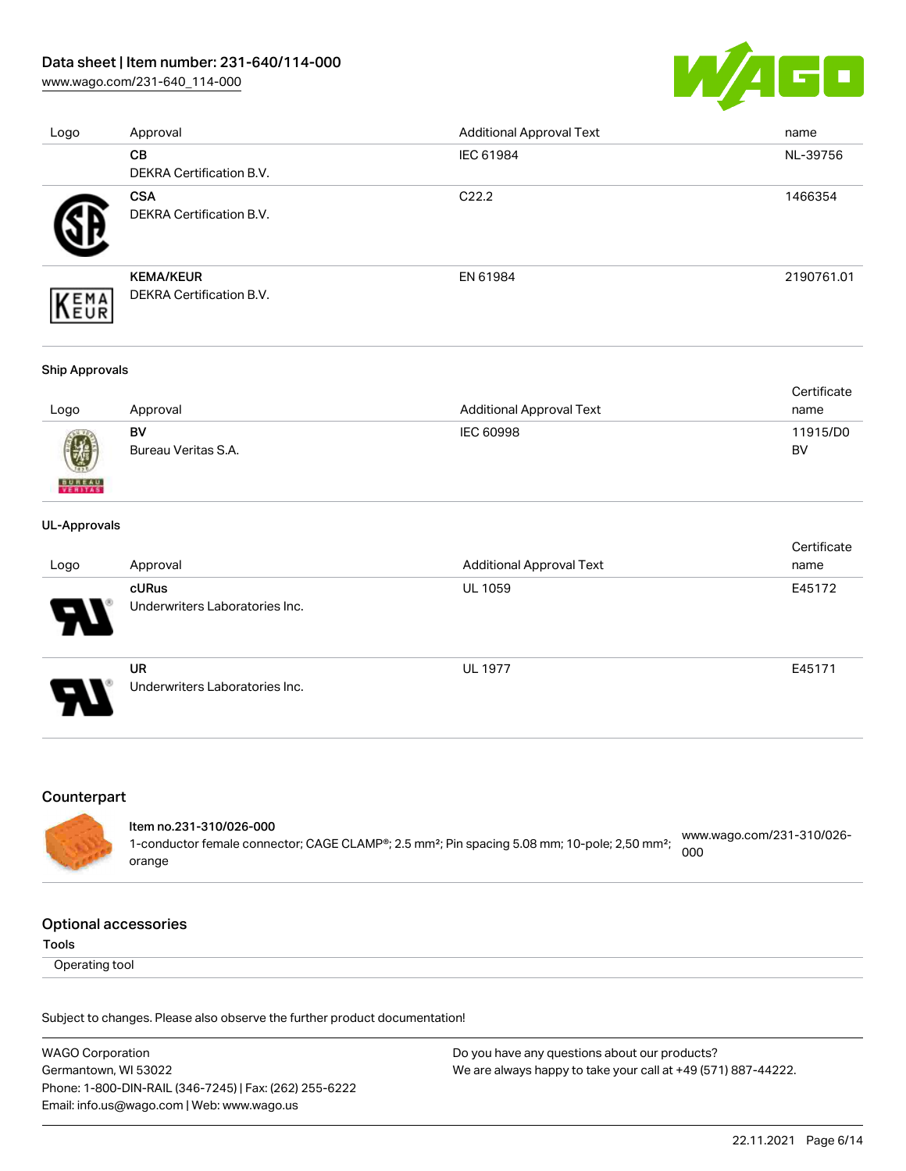[www.wago.com/231-640\\_114-000](http://www.wago.com/231-640_114-000)



| Logo | Approval                 | <b>Additional Approval Text</b> | name       |
|------|--------------------------|---------------------------------|------------|
|      | CB                       | IEC 61984                       | NL-39756   |
|      | DEKRA Certification B.V. |                                 |            |
|      | <b>CSA</b>               | C <sub>22.2</sub>               | 1466354    |
|      | DEKRA Certification B.V. |                                 |            |
|      | <b>KEMA/KEUR</b>         | EN 61984                        | 2190761.01 |
| EMA  | DEKRA Certification B.V. |                                 |            |

#### Ship Approvals

|      |                     |                                 | Certificate |
|------|---------------------|---------------------------------|-------------|
| Logo | Approval            | <b>Additional Approval Text</b> | name        |
|      | BV                  | IEC 60998                       | 11915/D0    |
| 0    | Bureau Veritas S.A. |                                 | BV          |

#### UL-Approvals

**BUREAU** 

| Logo                       | Approval                                       | <b>Additional Approval Text</b> | Certificate<br>name |
|----------------------------|------------------------------------------------|---------------------------------|---------------------|
| $\boldsymbol{\mathcal{A}}$ | <b>cURus</b><br>Underwriters Laboratories Inc. | <b>UL 1059</b>                  | E45172              |
| 8                          | <b>UR</b><br>Underwriters Laboratories Inc.    | <b>UL 1977</b>                  | E45171              |

#### Counterpart

#### Item no.231-310/026-000 1-conductor female connector; CAGE CLAMP®; 2.5 mm²; Pin spacing 5.08 mm; 10-pole; 2,50 mm²; [www.wago.com/231-310/026-](https://www.wago.com/231-310/026-000) [000](https://www.wago.com/231-310/026-000)

Optional accessories

orange

Tools

Operating tool

Subject to changes. Please also observe the further product documentation!

WAGO Corporation Germantown, WI 53022 Phone: 1-800-DIN-RAIL (346-7245) | Fax: (262) 255-6222 Email: info.us@wago.com | Web: www.wago.us Do you have any questions about our products? We are always happy to take your call at +49 (571) 887-44222.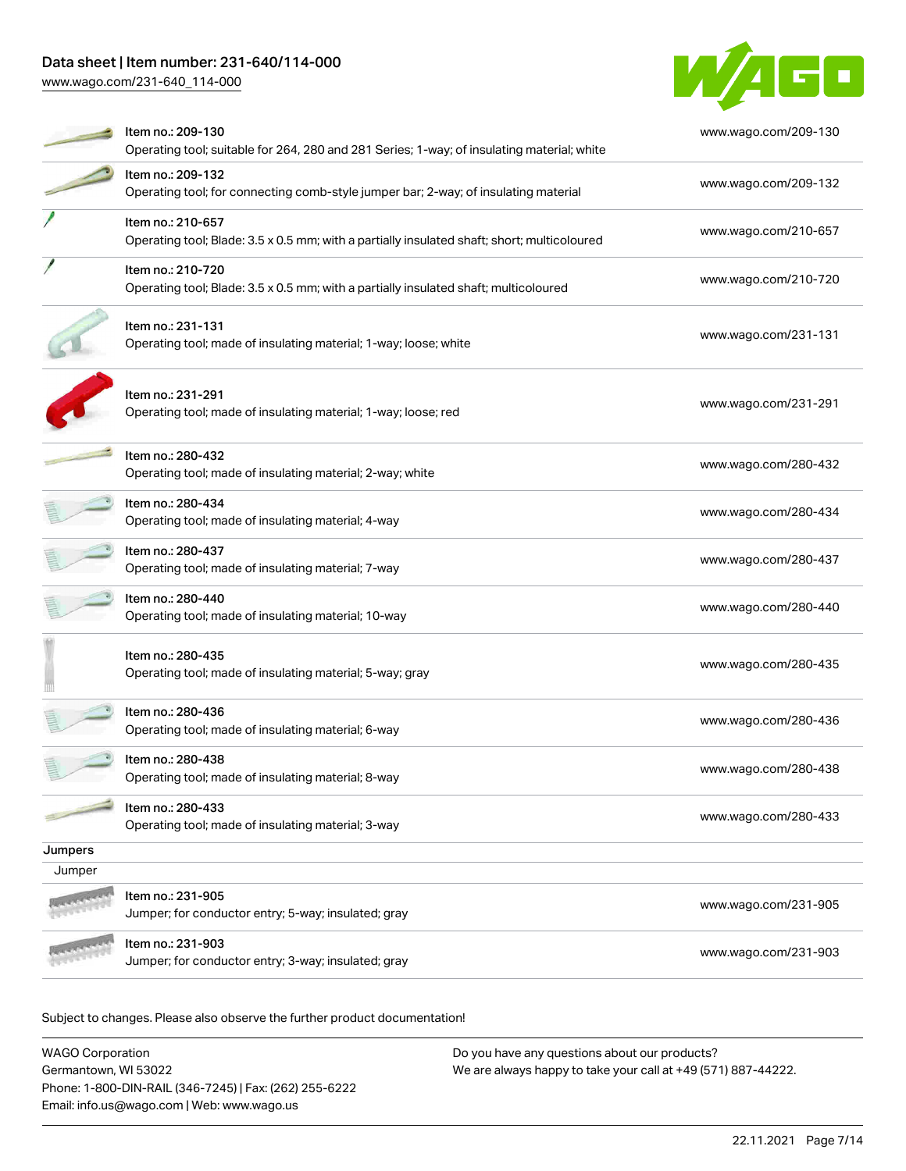[www.wago.com/231-640\\_114-000](http://www.wago.com/231-640_114-000)



|         | Item no.: 209-130<br>Operating tool; suitable for 264, 280 and 281 Series; 1-way; of insulating material; white  | www.wago.com/209-130 |
|---------|------------------------------------------------------------------------------------------------------------------|----------------------|
|         | Item no.: 209-132<br>Operating tool; for connecting comb-style jumper bar; 2-way; of insulating material         | www.wago.com/209-132 |
|         | Item no.: 210-657<br>Operating tool; Blade: 3.5 x 0.5 mm; with a partially insulated shaft; short; multicoloured | www.wago.com/210-657 |
|         | Item no.: 210-720<br>Operating tool; Blade: 3.5 x 0.5 mm; with a partially insulated shaft; multicoloured        | www.wago.com/210-720 |
|         | Item no.: 231-131<br>Operating tool; made of insulating material; 1-way; loose; white                            | www.wago.com/231-131 |
|         | Item no.: 231-291<br>Operating tool; made of insulating material; 1-way; loose; red                              | www.wago.com/231-291 |
|         | Item no.: 280-432<br>Operating tool; made of insulating material; 2-way; white                                   | www.wago.com/280-432 |
|         | Item no.: 280-434<br>Operating tool; made of insulating material; 4-way                                          | www.wago.com/280-434 |
|         | Item no.: 280-437<br>Operating tool; made of insulating material; 7-way                                          | www.wago.com/280-437 |
|         | Item no.: 280-440<br>Operating tool; made of insulating material; 10-way                                         | www.wago.com/280-440 |
|         | Item no.: 280-435<br>Operating tool; made of insulating material; 5-way; gray                                    | www.wago.com/280-435 |
|         | Item no.: 280-436<br>Operating tool; made of insulating material; 6-way                                          | www.wago.com/280-436 |
|         | Item no.: 280-438<br>Operating tool; made of insulating material; 8-way                                          | www.wago.com/280-438 |
|         | Item no.: 280-433<br>Operating tool; made of insulating material; 3-way                                          | www.wago.com/280-433 |
| Jumpers |                                                                                                                  |                      |
| Jumper  |                                                                                                                  |                      |
|         | Item no.: 231-905<br>Jumper; for conductor entry; 5-way; insulated; gray                                         | www.wago.com/231-905 |
|         | Item no.: 231-903<br>Jumper; for conductor entry; 3-way; insulated; gray                                         | www.wago.com/231-903 |
|         |                                                                                                                  |                      |

Subject to changes. Please also observe the further product documentation!

| <b>WAGO Corporation</b>                                | Do you have any questions about our products?                 |
|--------------------------------------------------------|---------------------------------------------------------------|
| Germantown, WI 53022                                   | We are always happy to take your call at +49 (571) 887-44222. |
| Phone: 1-800-DIN-RAIL (346-7245)   Fax: (262) 255-6222 |                                                               |
| Email: info.us@wago.com   Web: www.wago.us             |                                                               |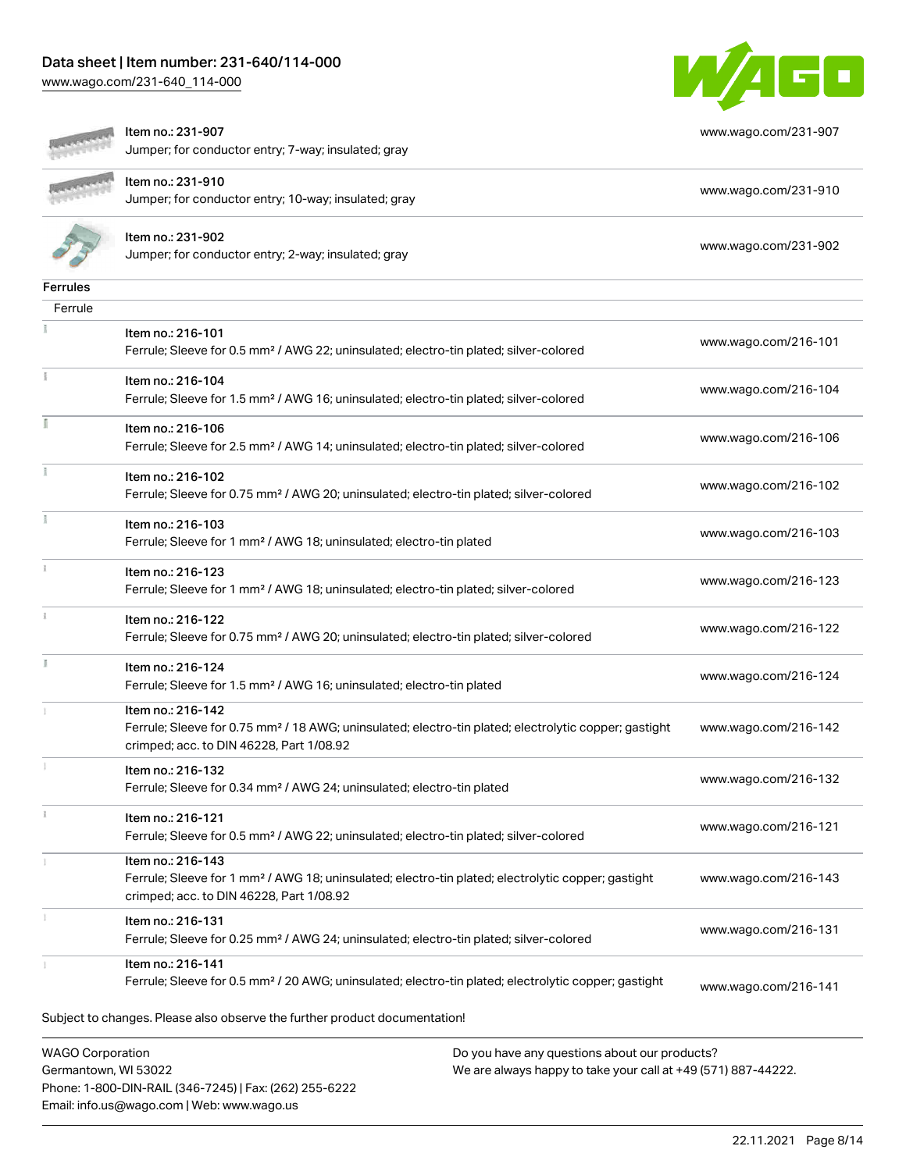[www.wago.com/231-640\\_114-000](http://www.wago.com/231-640_114-000)



|                         | Item no.: 231-907<br>Jumper; for conductor entry; 7-way; insulated; gray                                                                                                           | www.wago.com/231-907 |
|-------------------------|------------------------------------------------------------------------------------------------------------------------------------------------------------------------------------|----------------------|
|                         | Item no.: 231-910<br>Jumper; for conductor entry; 10-way; insulated; gray                                                                                                          | www.wago.com/231-910 |
|                         | Item no.: 231-902<br>Jumper; for conductor entry; 2-way; insulated; gray                                                                                                           | www.wago.com/231-902 |
| <b>Ferrules</b>         |                                                                                                                                                                                    |                      |
| Ferrule                 |                                                                                                                                                                                    |                      |
|                         | Item no.: 216-101<br>Ferrule; Sleeve for 0.5 mm <sup>2</sup> / AWG 22; uninsulated; electro-tin plated; silver-colored                                                             | www.wago.com/216-101 |
|                         | Item no.: 216-104<br>Ferrule; Sleeve for 1.5 mm <sup>2</sup> / AWG 16; uninsulated; electro-tin plated; silver-colored                                                             | www.wago.com/216-104 |
|                         | Item no.: 216-106<br>Ferrule; Sleeve for 2.5 mm <sup>2</sup> / AWG 14; uninsulated; electro-tin plated; silver-colored                                                             | www.wago.com/216-106 |
|                         | Item no.: 216-102<br>Ferrule; Sleeve for 0.75 mm <sup>2</sup> / AWG 20; uninsulated; electro-tin plated; silver-colored                                                            | www.wago.com/216-102 |
|                         | Item no.: 216-103<br>Ferrule; Sleeve for 1 mm <sup>2</sup> / AWG 18; uninsulated; electro-tin plated                                                                               | www.wago.com/216-103 |
| $\frac{1}{3}$           | Item no.: 216-123<br>Ferrule; Sleeve for 1 mm <sup>2</sup> / AWG 18; uninsulated; electro-tin plated; silver-colored                                                               | www.wago.com/216-123 |
|                         | Item no.: 216-122<br>Ferrule; Sleeve for 0.75 mm <sup>2</sup> / AWG 20; uninsulated; electro-tin plated; silver-colored                                                            | www.wago.com/216-122 |
|                         | Item no.: 216-124<br>Ferrule; Sleeve for 1.5 mm <sup>2</sup> / AWG 16; uninsulated; electro-tin plated                                                                             | www.wago.com/216-124 |
|                         | Item no.: 216-142<br>Ferrule; Sleeve for 0.75 mm <sup>2</sup> / 18 AWG; uninsulated; electro-tin plated; electrolytic copper; gastight<br>crimped; acc. to DIN 46228, Part 1/08.92 | www.wago.com/216-142 |
|                         | Item no.: 216-132<br>Ferrule; Sleeve for 0.34 mm <sup>2</sup> / AWG 24; uninsulated; electro-tin plated                                                                            | www.wago.com/216-132 |
|                         | Item no.: 216-121<br>Ferrule; Sleeve for 0.5 mm <sup>2</sup> / AWG 22; uninsulated; electro-tin plated; silver-colored                                                             | www.wago.com/216-121 |
|                         | Item no.: 216-143<br>Ferrule; Sleeve for 1 mm <sup>2</sup> / AWG 18; uninsulated; electro-tin plated; electrolytic copper; gastight<br>crimped; acc. to DIN 46228, Part 1/08.92    | www.wago.com/216-143 |
|                         | Item no.: 216-131<br>Ferrule; Sleeve for 0.25 mm <sup>2</sup> / AWG 24; uninsulated; electro-tin plated; silver-colored                                                            | www.wago.com/216-131 |
|                         | Item no.: 216-141<br>Ferrule; Sleeve for 0.5 mm <sup>2</sup> / 20 AWG; uninsulated; electro-tin plated; electrolytic copper; gastight                                              | www.wago.com/216-141 |
|                         | Subject to changes. Please also observe the further product documentation!                                                                                                         |                      |
| <b>WAGO Corporation</b> | Do you have any questions about our products?                                                                                                                                      |                      |

Germantown, WI 53022 Phone: 1-800-DIN-RAIL (346-7245) | Fax: (262) 255-6222 Email: info.us@wago.com | Web: www.wago.us

We are always happy to take your call at +49 (571) 887-44222.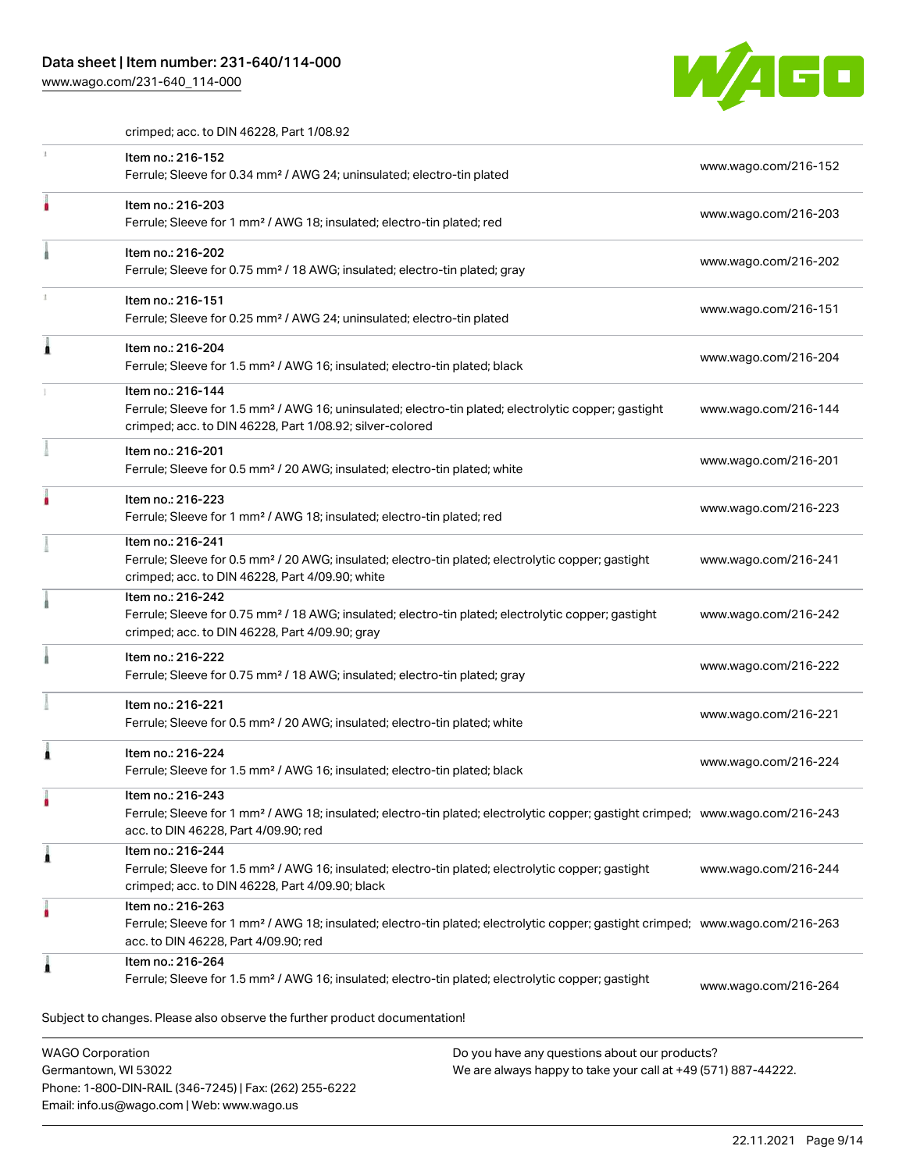Phone: 1-800-DIN-RAIL (346-7245) | Fax: (262) 255-6222

Email: info.us@wago.com | Web: www.wago.us

[www.wago.com/231-640\\_114-000](http://www.wago.com/231-640_114-000)



crimped; acc. to DIN 46228, Part 1/08.92

| Item no.: 216-152<br>Ferrule; Sleeve for 0.34 mm <sup>2</sup> / AWG 24; uninsulated; electro-tin plated                                                                                                 |                                                                                                                | www.wago.com/216-152 |
|---------------------------------------------------------------------------------------------------------------------------------------------------------------------------------------------------------|----------------------------------------------------------------------------------------------------------------|----------------------|
| Item no.: 216-203<br>Ferrule; Sleeve for 1 mm <sup>2</sup> / AWG 18; insulated; electro-tin plated; red                                                                                                 |                                                                                                                | www.wago.com/216-203 |
| Item no.: 216-202<br>Ferrule; Sleeve for 0.75 mm <sup>2</sup> / 18 AWG; insulated; electro-tin plated; gray                                                                                             |                                                                                                                | www.wago.com/216-202 |
| Item no.: 216-151<br>Ferrule; Sleeve for 0.25 mm <sup>2</sup> / AWG 24; uninsulated; electro-tin plated                                                                                                 |                                                                                                                | www.wago.com/216-151 |
| Item no.: 216-204<br>Ferrule; Sleeve for 1.5 mm <sup>2</sup> / AWG 16; insulated; electro-tin plated; black                                                                                             |                                                                                                                | www.wago.com/216-204 |
| Item no.: 216-144<br>Ferrule; Sleeve for 1.5 mm <sup>2</sup> / AWG 16; uninsulated; electro-tin plated; electrolytic copper; gastight<br>crimped; acc. to DIN 46228, Part 1/08.92; silver-colored       |                                                                                                                | www.wago.com/216-144 |
| Item no.: 216-201<br>Ferrule; Sleeve for 0.5 mm <sup>2</sup> / 20 AWG; insulated; electro-tin plated; white                                                                                             |                                                                                                                | www.wago.com/216-201 |
| Item no.: 216-223<br>Ferrule; Sleeve for 1 mm <sup>2</sup> / AWG 18; insulated; electro-tin plated; red                                                                                                 |                                                                                                                | www.wago.com/216-223 |
| Item no.: 216-241<br>Ferrule; Sleeve for 0.5 mm <sup>2</sup> / 20 AWG; insulated; electro-tin plated; electrolytic copper; gastight<br>crimped; acc. to DIN 46228, Part 4/09.90; white                  |                                                                                                                | www.wago.com/216-241 |
| Item no.: 216-242<br>Ferrule; Sleeve for 0.75 mm <sup>2</sup> / 18 AWG; insulated; electro-tin plated; electrolytic copper; gastight<br>crimped; acc. to DIN 46228, Part 4/09.90; gray                  |                                                                                                                | www.wago.com/216-242 |
| Item no.: 216-222<br>Ferrule; Sleeve for 0.75 mm <sup>2</sup> / 18 AWG; insulated; electro-tin plated; gray                                                                                             |                                                                                                                | www.wago.com/216-222 |
| Item no.: 216-221<br>Ferrule; Sleeve for 0.5 mm <sup>2</sup> / 20 AWG; insulated; electro-tin plated; white                                                                                             |                                                                                                                | www.wago.com/216-221 |
| Item no.: 216-224<br>Ferrule; Sleeve for 1.5 mm <sup>2</sup> / AWG 16; insulated; electro-tin plated; black                                                                                             |                                                                                                                | www.wago.com/216-224 |
| Item no.: 216-243<br>Ferrule; Sleeve for 1 mm <sup>2</sup> / AWG 18; insulated; electro-tin plated; electrolytic copper; gastight crimped; www.wago.com/216-243<br>acc. to DIN 46228, Part 4/09.90; red |                                                                                                                |                      |
| Item no.: 216-244<br>Ferrule; Sleeve for 1.5 mm <sup>2</sup> / AWG 16; insulated; electro-tin plated; electrolytic copper; gastight<br>crimped; acc. to DIN 46228, Part 4/09.90; black                  |                                                                                                                | www.wago.com/216-244 |
| Item no.: 216-263<br>Ferrule; Sleeve for 1 mm <sup>2</sup> / AWG 18; insulated; electro-tin plated; electrolytic copper; gastight crimped; www.wago.com/216-263<br>acc. to DIN 46228, Part 4/09.90; red |                                                                                                                |                      |
| Item no.: 216-264<br>Ferrule; Sleeve for 1.5 mm <sup>2</sup> / AWG 16; insulated; electro-tin plated; electrolytic copper; gastight                                                                     |                                                                                                                | www.wago.com/216-264 |
| Subject to changes. Please also observe the further product documentation!                                                                                                                              |                                                                                                                |                      |
| <b>WAGO Corporation</b><br>Germantown, WI 53022                                                                                                                                                         | Do you have any questions about our products?<br>We are always happy to take your call at +49 (571) 887-44222. |                      |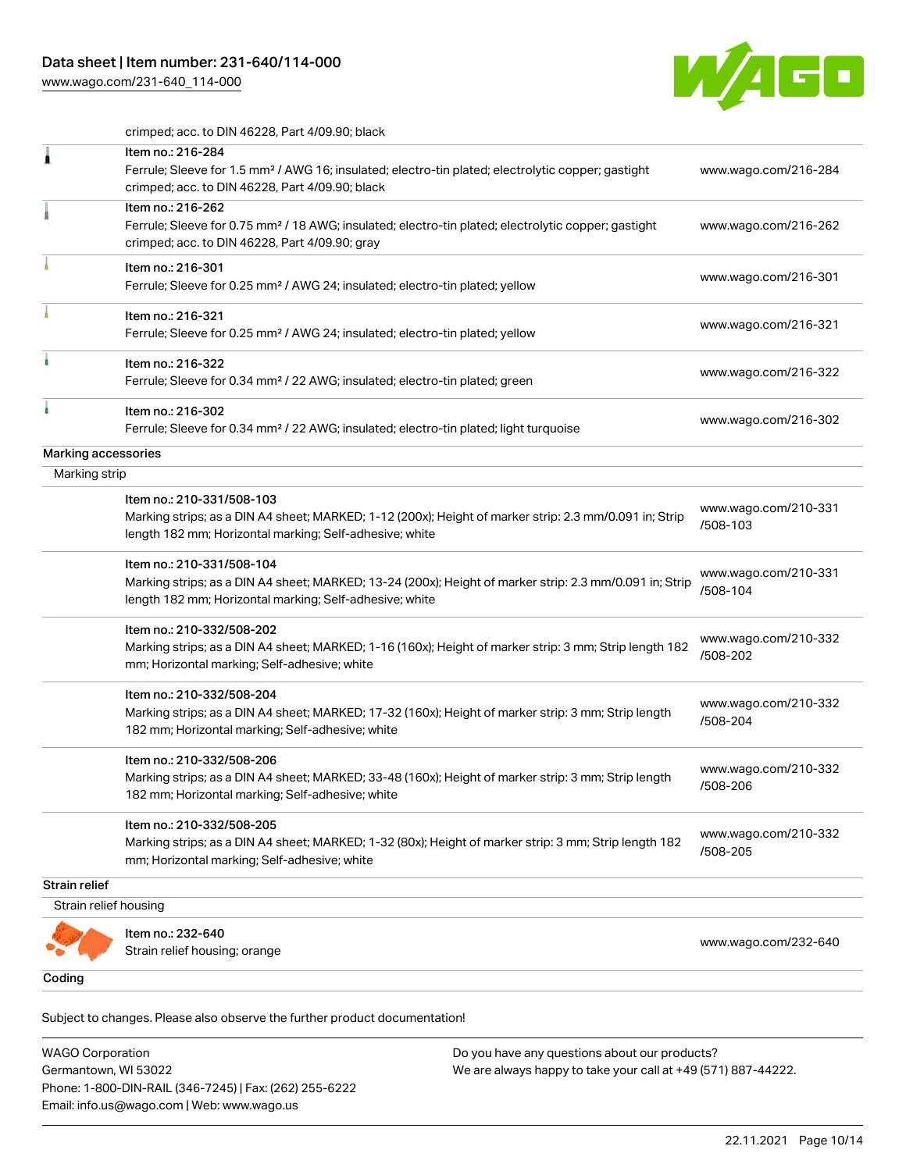[www.wago.com/231-640\\_114-000](http://www.wago.com/231-640_114-000)



crimped; acc. to DIN 46228, Part 4/09.90; black

|                       | Item no.: 216-284<br>Ferrule; Sleeve for 1.5 mm <sup>2</sup> / AWG 16; insulated; electro-tin plated; electrolytic copper; gastight<br>crimped; acc. to DIN 46228, Part 4/09.90; black          | www.wago.com/216-284             |
|-----------------------|-------------------------------------------------------------------------------------------------------------------------------------------------------------------------------------------------|----------------------------------|
|                       | Item no.: 216-262<br>Ferrule; Sleeve for 0.75 mm <sup>2</sup> / 18 AWG; insulated; electro-tin plated; electrolytic copper; gastight<br>crimped; acc. to DIN 46228, Part 4/09.90; gray          | www.wago.com/216-262             |
|                       | Item no.: 216-301<br>Ferrule; Sleeve for 0.25 mm <sup>2</sup> / AWG 24; insulated; electro-tin plated; yellow                                                                                   | www.wago.com/216-301             |
|                       | Item no.: 216-321<br>Ferrule; Sleeve for 0.25 mm <sup>2</sup> / AWG 24; insulated; electro-tin plated; yellow                                                                                   | www.wago.com/216-321             |
|                       | Item no.: 216-322<br>Ferrule; Sleeve for 0.34 mm <sup>2</sup> / 22 AWG; insulated; electro-tin plated; green                                                                                    | www.wago.com/216-322             |
|                       | Item no.: 216-302<br>Ferrule; Sleeve for 0.34 mm <sup>2</sup> / 22 AWG; insulated; electro-tin plated; light turquoise                                                                          | www.wago.com/216-302             |
| Marking accessories   |                                                                                                                                                                                                 |                                  |
| Marking strip         |                                                                                                                                                                                                 |                                  |
|                       | Item no.: 210-331/508-103<br>Marking strips; as a DIN A4 sheet; MARKED; 1-12 (200x); Height of marker strip: 2.3 mm/0.091 in; Strip<br>length 182 mm; Horizontal marking; Self-adhesive; white  | www.wago.com/210-331<br>/508-103 |
|                       | Item no.: 210-331/508-104<br>Marking strips; as a DIN A4 sheet; MARKED; 13-24 (200x); Height of marker strip: 2.3 mm/0.091 in; Strip<br>length 182 mm; Horizontal marking; Self-adhesive; white | www.wago.com/210-331<br>/508-104 |
|                       | Item no.: 210-332/508-202<br>Marking strips; as a DIN A4 sheet; MARKED; 1-16 (160x); Height of marker strip: 3 mm; Strip length 182<br>mm; Horizontal marking; Self-adhesive; white             | www.wago.com/210-332<br>/508-202 |
|                       | Item no.: 210-332/508-204<br>Marking strips; as a DIN A4 sheet; MARKED; 17-32 (160x); Height of marker strip: 3 mm; Strip length<br>182 mm; Horizontal marking; Self-adhesive; white            | www.wago.com/210-332<br>/508-204 |
|                       | Item no.: 210-332/508-206<br>Marking strips; as a DIN A4 sheet; MARKED; 33-48 (160x); Height of marker strip: 3 mm; Strip length<br>182 mm; Horizontal marking; Self-adhesive; white            | www.wago.com/210-332<br>/508-206 |
|                       | Item no.: 210-332/508-205<br>Marking strips; as a DIN A4 sheet; MARKED; 1-32 (80x); Height of marker strip: 3 mm; Strip length 182<br>mm; Horizontal marking; Self-adhesive; white              | www.wago.com/210-332<br>/508-205 |
| Strain relief         |                                                                                                                                                                                                 |                                  |
| Strain relief housing |                                                                                                                                                                                                 |                                  |
|                       | Item no.: 232-640<br>Strain relief housing; orange                                                                                                                                              | www.wago.com/232-640             |
|                       |                                                                                                                                                                                                 |                                  |

Subject to changes. Please also observe the further product documentation! Coding

WAGO Corporation Germantown, WI 53022 Phone: 1-800-DIN-RAIL (346-7245) | Fax: (262) 255-6222 Email: info.us@wago.com | Web: www.wago.us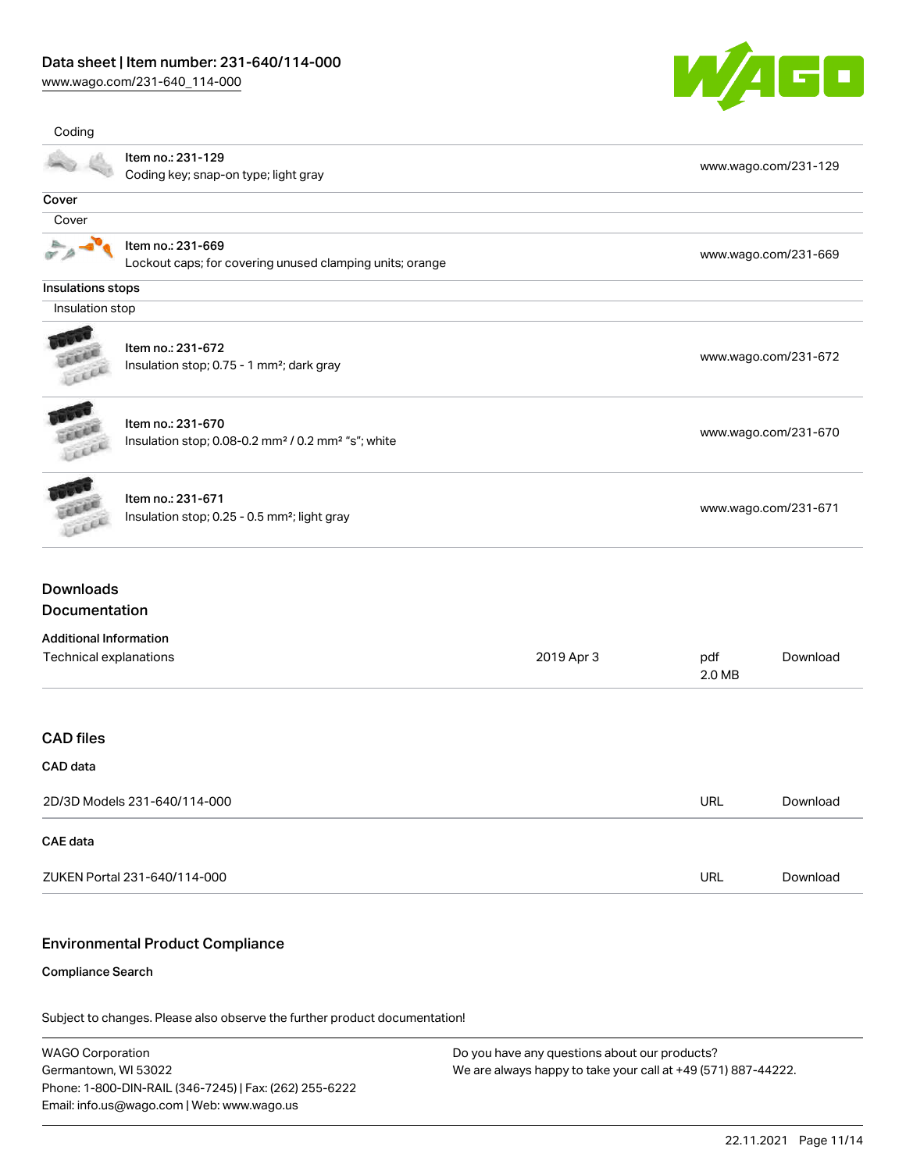[www.wago.com/231-640\\_114-000](http://www.wago.com/231-640_114-000)



| Coding                            |                                                                                                 |            |                      |                      |  |
|-----------------------------------|-------------------------------------------------------------------------------------------------|------------|----------------------|----------------------|--|
|                                   | Item no.: 231-129<br>Coding key; snap-on type; light gray                                       |            |                      | www.wago.com/231-129 |  |
| Cover                             |                                                                                                 |            |                      |                      |  |
| Cover                             |                                                                                                 |            |                      |                      |  |
|                                   | Item no.: 231-669<br>Lockout caps; for covering unused clamping units; orange                   |            |                      | www.wago.com/231-669 |  |
| Insulations stops                 |                                                                                                 |            |                      |                      |  |
| Insulation stop                   |                                                                                                 |            |                      |                      |  |
|                                   | Item no.: 231-672<br>Insulation stop; 0.75 - 1 mm <sup>2</sup> ; dark gray                      |            |                      | www.wago.com/231-672 |  |
| LEEEE                             | Item no.: 231-670<br>Insulation stop; 0.08-0.2 mm <sup>2</sup> / 0.2 mm <sup>2</sup> "s"; white |            |                      | www.wago.com/231-670 |  |
| cice                              | Item no.: 231-671<br>Insulation stop; 0.25 - 0.5 mm <sup>2</sup> ; light gray                   |            | www.wago.com/231-671 |                      |  |
| <b>Downloads</b><br>Documentation |                                                                                                 |            |                      |                      |  |
| <b>Additional Information</b>     |                                                                                                 |            |                      |                      |  |
| Technical explanations            |                                                                                                 | 2019 Apr 3 | pdf<br>2.0 MB        | Download             |  |
| <b>CAD files</b>                  |                                                                                                 |            |                      |                      |  |
| CAD data                          |                                                                                                 |            |                      |                      |  |
| 2D/3D Models 231-640/114-000      |                                                                                                 | URL        | Download             |                      |  |
| CAE data                          |                                                                                                 |            |                      |                      |  |
|                                   | ZUKEN Portal 231-640/114-000                                                                    |            | URL                  | Download             |  |
|                                   |                                                                                                 |            |                      |                      |  |

# Environmental Product Compliance

#### Compliance Search

Subject to changes. Please also observe the further product documentation!

WAGO Corporation Germantown, WI 53022 Phone: 1-800-DIN-RAIL (346-7245) | Fax: (262) 255-6222 Email: info.us@wago.com | Web: www.wago.us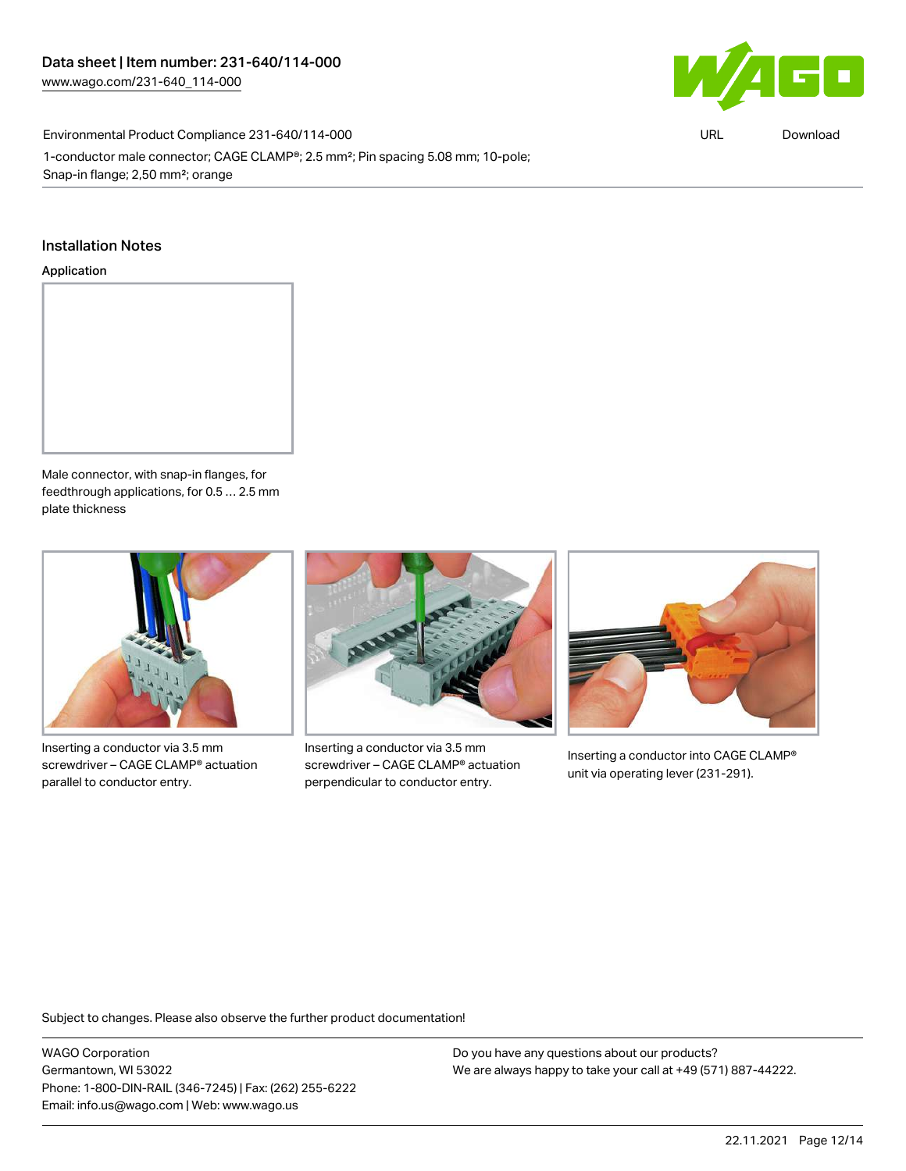

Environmental Product Compliance 231-640/114-000

1-conductor male connector; CAGE CLAMP®; 2.5 mm²; Pin spacing 5.08 mm; 10-pole; Snap-in flange; 2,50 mm²; orange

URL [Download](https://www.wago.com/global/d/ComplianceLinkMediaContainer_231-640_114-000)

#### Installation Notes

#### Application



Male connector, with snap-in flanges, for feedthrough applications, for 0.5 … 2.5 mm plate thickness



Inserting a conductor via 3.5 mm screwdriver – CAGE CLAMP® actuation parallel to conductor entry.



Inserting a conductor via 3.5 mm screwdriver – CAGE CLAMP® actuation perpendicular to conductor entry.



Inserting a conductor into CAGE CLAMP® unit via operating lever (231-291).

Subject to changes. Please also observe the further product documentation!

WAGO Corporation Germantown, WI 53022 Phone: 1-800-DIN-RAIL (346-7245) | Fax: (262) 255-6222 Email: info.us@wago.com | Web: www.wago.us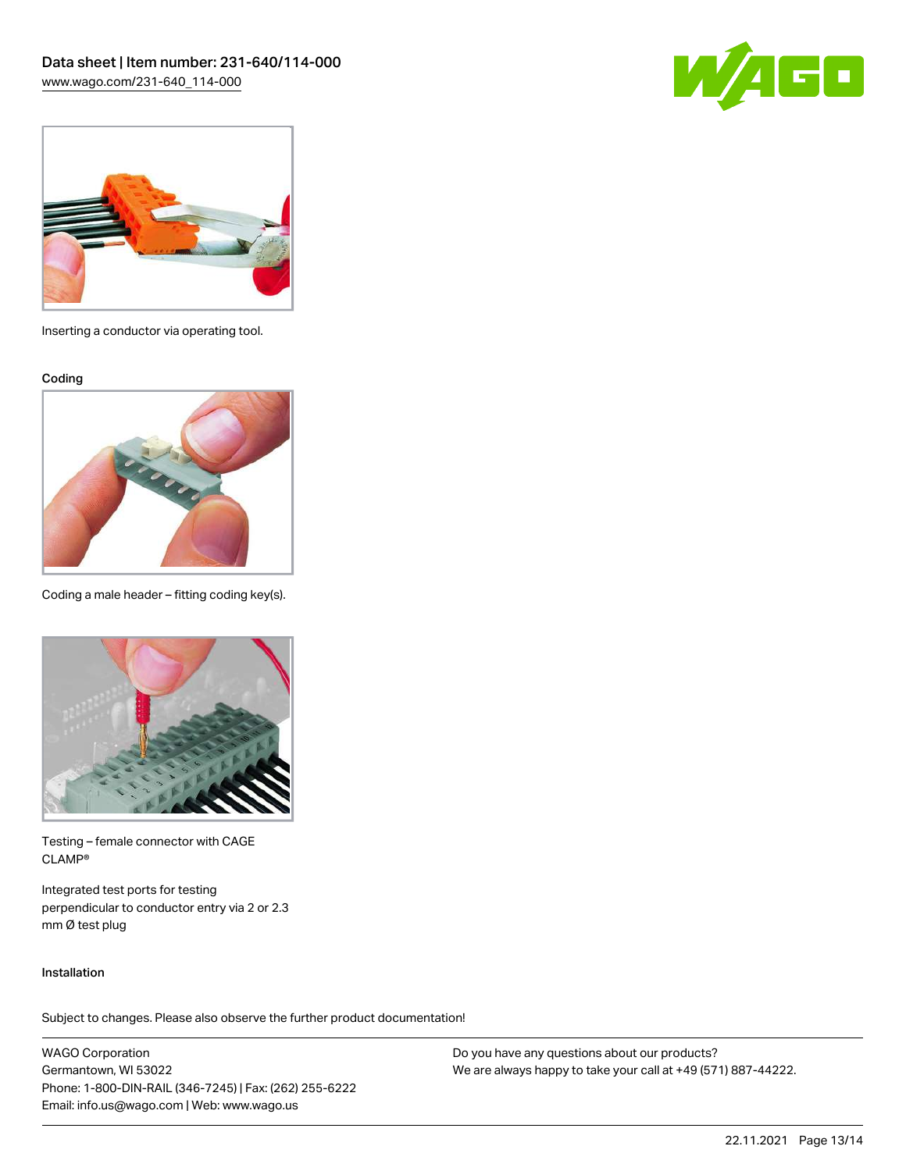



Inserting a conductor via operating tool.

Coding



Coding a male header – fitting coding key(s).



Testing – female connector with CAGE CLAMP®

Integrated test ports for testing perpendicular to conductor entry via 2 or 2.3 mm Ø test plug

#### Installation

Subject to changes. Please also observe the further product documentation!

WAGO Corporation Germantown, WI 53022 Phone: 1-800-DIN-RAIL (346-7245) | Fax: (262) 255-6222 Email: info.us@wago.com | Web: www.wago.us